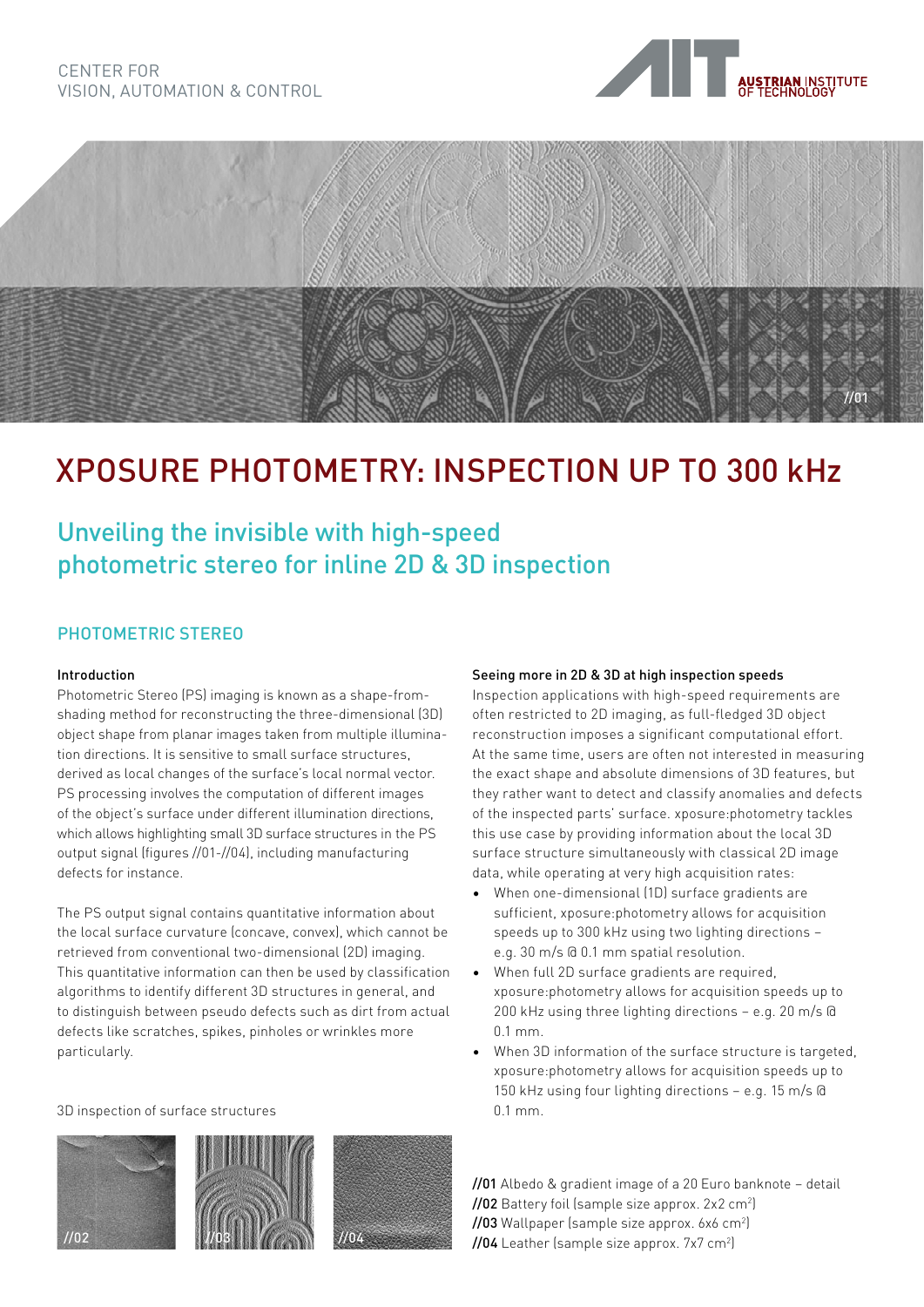



# XPOSURE PHOTOMETRY: INSPECTION UP TO 300 kHz

### Unveiling the invisible with high-speed photometric stereo for inline 2D & 3D inspection

#### PHOTOMETRIC STEREO

#### Introduction

Photometric Stereo (PS) imaging is known as a shape-fromshading method for reconstructing the three-dimensional (3D) object shape from planar images taken from multiple illumination directions. It is sensitive to small surface structures, derived as local changes of the surface's local normal vector. PS processing involves the computation of different images of the object's surface under different illumination directions, which allows highlighting small 3D surface structures in the PS output signal (figures //01-//04), including manufacturing defects for instance.

The PS output signal contains quantitative information about the local surface curvature (concave, convex), which cannot be retrieved from conventional two-dimensional (2D) imaging. This quantitative information can then be used by classification algorithms to identify different 3D structures in general, and to distinguish between pseudo defects such as dirt from actual defects like scratches, spikes, pinholes or wrinkles more particularly.

3D inspection of surface structures







#### Seeing more in 2D & 3D at high inspection speeds

Inspection applications with high-speed requirements are often restricted to 2D imaging, as full-fledged 3D object reconstruction imposes a significant computational effort. At the same time, users are often not interested in measuring the exact shape and absolute dimensions of 3D features, but they rather want to detect and classify anomalies and defects of the inspected parts' surface. xposure:photometry tackles this use case by providing information about the local 3D surface structure simultaneously with classical 2D image data, while operating at very high acquisition rates:

- When one-dimensional (1D) surface gradients are sufficient, xposure:photometry allows for acquisition speeds up to 300 kHz using two lighting directions – e.g. 30 m/s @ 0.1 mm spatial resolution.
- When full 2D surface gradients are required, xposure:photometry allows for acquisition speeds up to 200 kHz using three lighting directions – e.g. 20 m/s @ 0.1 mm.
- When 3D information of the surface structure is targeted, xposure:photometry allows for acquisition speeds up to 150 kHz using four lighting directions – e.g. 15 m/s @ 0.1 mm.

//01 Albedo & gradient image of a 20 Euro banknote – detail **//02** Battery foil (sample size approx. 2x2 cm<sup>2</sup>) **//03** Wallpaper (sample size approx. 6x6 cm<sup>2</sup>) **//04** Leather (sample size approx. 7x7 cm<sup>2</sup>)